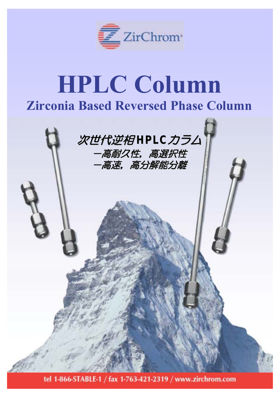

# **HPLC Column Zirconia Based Reversed Phase Column**



tel 1-866-STABLE-1 / fax 1-763-421-2319 / www.zirchrom.com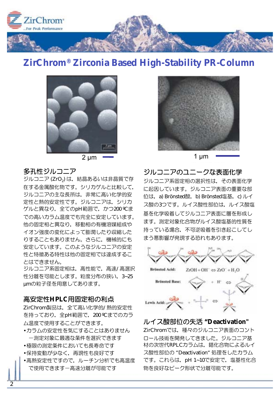

## **ZirChrom® Zirconia Based High-Stability PR-Column**



 $2 \mu m$   $\sim$  1  $\mu m$ 

#### 多孔性ジルコニア

ジルコニア (ZrO2) は、結晶あるいは非晶質で存 在する金属酸化物です。シリカゲルと比較して、 ジルコニアの主な長所は、非常に高い化学的安 定性と熱的安定性です。ジルコニアは、シリカ グルと異なり、全てのpH範囲で、かつ200 ℃ま での高いカラム温度でも完全に安定しています。 他の固定相と異なり、移動相の有機溶媒組成や イオン強度の変化によって膨潤したり収縮した りすることもありません。さらに、機械的にも 安定しています。このようなジルコニアの安定 性と特徴ある特性は他の固定相では達成するこ とはできません。

ジルコニア系固定相は、高性能で、高速/高選択 性分離を可能とします。 粒度分布の狭い、 3~25 umの粒子径を用意してあります。

#### 高安定性HPLC用固定相の利点

ZirChrom製品は、全て高い化学的/熱的安定性 を持っており、全pH範囲で, 200 ℃までのカラ ム温度で使用することができます。

- •カラムの安定性を気にすることはありません 一測定対象に最適な条件を選択できます
- •極限の測定条件においても長寿命です
- •保持変動が少なく、再現性も良好です
- •高熱安定性ですので、ルーチン分析でも高温度 で使用できますー高速分離が可能です



#### ジルコニアのユニークな表面化学

ジルコニア系固定相の選択性は、その表面化学 に起因しています。ジルコニア表面の重要な部 位は, a) Brönsted酸, b) Brönsted塩基, c) ルイ ス酸の3つです。ルイス酸性部位は、ルイス酸塩 基を化学吸着してジルコニア表面に層を形成し ます。測定対象化合物がルイス酸塩基的性質を 持っている場合、不可逆吸着を引き起こしてし まう悪影響が発現する恐れもあります。



#### ȫǤǹᣠᢿˮƷڂ**" Deactivation"**

ZirChromでは、種々のジルコニア表面のコント ロール技術を開発してきました。ジルコニア基 材の次世代RPLCカラムは、錯化合物によるルイ ス酸性部位の "Deactivation" 処理をしたカラム です。これらは、pH 1~10で安定で, 塩基性化合 物を良好なピーク形状で分離可能です。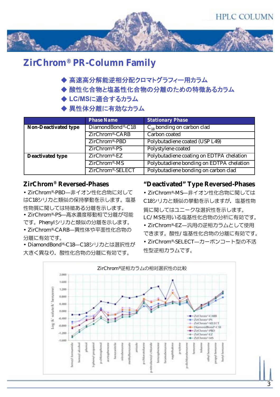

## **ZirChrom® PR-Column Family**

- ◆ 高速高分解能逆相分配クロマトグラフィー用カラム
- ◆ 酸性化合物と塩基性化合物の分離のための特徴あるカラム
- ◆ LC/MSに適合するカラム
- ◆ 異性体分離に有効なカラム

|                             | <b>Phase Name</b>             | <b>Stationary Phase</b>                                                                                             |  |
|-----------------------------|-------------------------------|---------------------------------------------------------------------------------------------------------------------|--|
| <b>Non-Deactivated type</b> | DiamondBond®-C18              | $\overline{C_{18}}$ bonding on carbon clad<br>Carbon coated<br>Polybutadiene coated (USP L49)<br>Polystylene coated |  |
|                             | ZirChrom®-CARB                |                                                                                                                     |  |
|                             | ZirChrom®-PBD                 |                                                                                                                     |  |
|                             | $ZirChrom®-PS$                |                                                                                                                     |  |
| <b>Deactivated type</b>     | ZirChrom®-EZ                  | Polybutadiene coating on EDTPA chelation                                                                            |  |
|                             | ZirChrom®-MS                  | Polybutadiene bonding on EDTPA chelation                                                                            |  |
|                             | ZirChrom <sup>®</sup> -SELECT | Polybutadiene bonding on carbon clad                                                                                |  |

#### **ZirChrom® Reversed-Phases**

• ZirChrom®-PBD-非イオン性化合物に対して はC18シリカと類似の保持挙動を示します。塩基 性物質に関しては特徴ある分離を示します。 • ZirChrom®-PS-高水濃度移動相で分離が可能 です。Phenylシリカと類似の分離を示します。

• ZirChrom®-CARB—異性体や平面性化合物の 分離に有効です。

• DiamondBond®-C18-C18シリカとは選択性が 大きく異なり、酸性化合物の分離に有効です。

#### **"Deactivated" Type Reversed-Phases**

• ZirChrom®-MS--非イオン性化合物に関しては C18シリカと類似の挙動を示しますが、塩基性物 質に関してはユニークな選択性を示します。 LC/MSを用いる塩基性化合物の分析に有効です。 • ZirChrom®-EZ-– 汎用の逆相力ラムとして使用

できます。酸性/塩基性化合物の分離に有効です。 • ZirChrom®-SELECT-カーボンコート型の不活 性型逆相力ラムです。

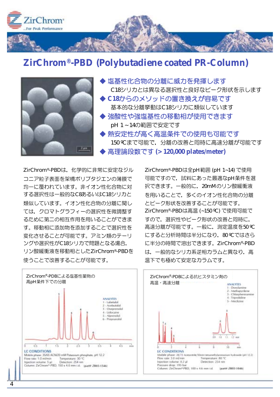

### **ZirChrom®-PBD (Polybutadiene coated PR-Column)**



▶ 塩基性化合物の分離に威力を発揮します C18シリカとは異なる選択性と良好なピーク形状を示します ◆ C18からのメソッドの置き換えが容易です 基本的な分離挙動はC18シリカに類似しています ◆ 強酸性や強塩基性の移動相が使用できます pH 1~14の範囲で安定です ◆ 熱安定性が高く高温条件での使用も可能です 150 ℃まで可能で、分離の改善と同時に高速分離が可能です 高理論段数です (> 120,000 plates/meter)

ZirChrom®-PBDは、化学的に非常に安定なジル コニア粒子表面を架橋ポリブタジエンの薄膜で 均一に覆われています。非イオン性化合物に対 する選択性は一般的なC8あるいはC18シリカと 類似しています。イオン性化合物の分離に関し ては、クロマトグラフィーの選択性を微調整す るために第二の相互作用を用いることができま す。移動相に添加物を添加することで選択性を 変化させることが可能です。アミン類のテーリ ングや選択性がC18シリカで問題となる場合. リン酸緩衝液を移動相としたZirChrom®-PBDを 使うことで改善することが可能です。





![](_page_3_Figure_7.jpeg)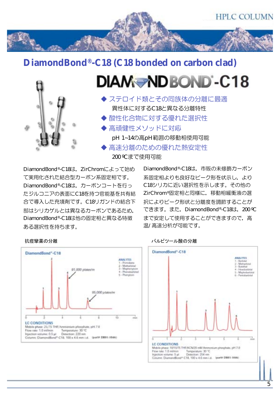![](_page_4_Picture_0.jpeg)

## **DiamondBond®-C18 (C18 bonded on carbon clad)**

![](_page_4_Figure_2.jpeg)

## **DIAM-NDBOND-C18**

◆ ステロイド類とその同族体の分離に最適 異性体に対するC18と異なる分離特性 ◆ 酸性化合物に対する優れた選択性 ◆ 高頑健性メソッドに対応 pH 1~14の高pH範囲の移動相使用可能 ◆ 高速分離のための優れた熱安定性 200 ℃まで使用可能

DiamondBond®-C18は、ZirChromによって始め て実用化された結合型カーボン系固定相です。 DiamondBond®-C18は、カーボンコートを行っ たジルコニアの表面にC18を持つ官能基を共有結 合で導入した充填剤です。C18リガンドの結合下 部はシリカゲルとは異なるカーボンであるため、 DiamondBond®-C18は他の固定相と異なる特徴 ある選択性を持ちます。

DiamondBond®-C18は、市販の未修飾カーボン 系固定相よりも良好なピーク形を状示し、より C18シリカに近い選択性を示します。その他の ZirChrom®固定相と同様に、移動相緩衝液の選 択によりピーク形状と分離度を調節することが できます。また, DiamondBond®-C18は, 200 °C まで安定して使用することができますので、高 温/高速分析が可能です。

![](_page_4_Figure_8.jpeg)

![](_page_4_Figure_9.jpeg)

![](_page_4_Figure_10.jpeg)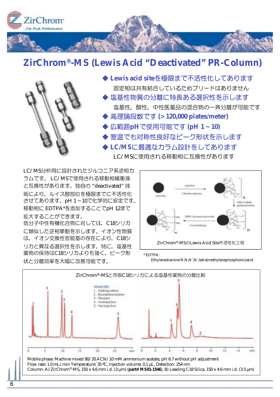![](_page_5_Picture_0.jpeg)

## **ZirChrom®-MS (Lewis Acid "Deactivated" PR-Column)**

![](_page_5_Picture_2.jpeg)

◆ Lewis acid siteを極限まで不活性化してあります 固定相は共有結合しているためブリードはありません ◆ 塩基性物質の分離に特長ある選択性を示します 塩基性、酸性、中性医薬品の混合物の一斉分離が可能です ◆ 高理論段数です (> 120,000 plates/meter) ◆ 広範囲pHで使用可能です (pH 1~10) ◆ 室温でも対称性良好なピーク形状を示します ▶ LC/MSに最適なカラム設計をしてあります LC/MSに使用される移動相に互換性があります

LC/MS分析用に設計されたジルコニア系逆相力 ラムです。LC/MSで使用される移動相緩衝液 と互換性があります。独自の "deactivated" 技 術により、ルイス酸部位を極限までに不活性化 させてあります。pH1~10で化学的に安定です。 移動相に EDTPA\*を添加することでpH 12まで 拡大することができます。

低分子中性有機化合物に対しては、C18シリカ に類似した逆相挙動を示します。イオン性物質 は、イオン交換性官能基の存在により、C18シ リカと異なる選択性を示します。特に、塩基性 薬物の保持はC18シリカよりも強く、ピーク形 状と分離効率を大幅に改善可能です。

![](_page_5_Figure_6.jpeg)

\* EDTPA:

Ethylenediamine N,N,N',N'-tetra(methylenephosphonic)acid

![](_page_5_Figure_9.jpeg)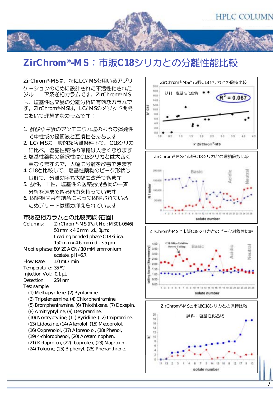![](_page_6_Picture_0.jpeg)

## $\bf{ZirChrom^@\text{-}MS}$ : 市販C18シリカとの分離性能比較

ZirChrom®-MSは、特にLC/MSを用いるアプリ ケーションのために設計された不活性化された ジルコニア系逆相カラムです。ZirChrom®-MS は、塩基性医薬品の分離分析に有効なカラムで す。ZirChrom®-MSは、LC/MSのメソッド開発 において理想的なカラムです:

- 1. 酢酸やギ酸のアンモニウム塩のような揮発性 で中性域の緩衝液と互換性を持ちます
- 2. LC/MSの一般的な溶離条件下で、C18シリカ に比べ、塩基性薬物の保持は大きくなります
- 3. 塩基性薬物の選択性はC18シリカとは大きく 異なりますので、大幅に分離を改善できます
- 4. C18と比較して、塩基性薬物のピーク形状は 良好で、分離効率も大幅に改善できます
- 5. 酸性, 中性, 塩基性の医薬品混合物の一斉 分析を達成できる能力を持っています
- 6. 固定相は共有結合によって固定されている ためブリードは極力抑えられています

#### 市販逆相カラムとの比較実験 (右図)

- Columns: ZirChrom®-MS (Part No.: MS01-0546) 50 mm x 4.6 mm i.d., 3µm; Leading bonded phase C18 silica, 150 mm x 4.6 mm i.d., 3.5 µm
- Mobile phase: 80/20 ACN/10 mM ammonium acetate, pH=6.7.
- Flow Rate: 1.0 mL/min
- Temperature: 35 ºC
- Injection Vol.: 0.1 µL
- Detection: 254 nm
- Test sample:
	- (1) Methapyrilene, (2) Pyrilamine,
	- (3) Tripeleneamine, (4) Chlorpheniramine,
	- (5) Brompheniramine, (6) Thiothixene, (7) Doxepin,
	- (8) Amitryptyline, (9) Desipramine,
	- (10) Nortryptyline, (11) Pyridine, (12) Imipramine,
	- (13) Lidocaine, (14) Atenolol, (15) Metoprolol,
	- (16) Oxprenolol, (17) Alprenolol, (18) Phenol,
	- (19) 4-chlorophenol, (20) Acetaminophen,
	- (21) Ketoprofen, (22) Ibuprofen, (23) Naproxen,
	- (24) Toluene, (25) Biphenyl, (26) Phenanthrene.

![](_page_6_Figure_27.jpeg)

![](_page_6_Figure_28.jpeg)

![](_page_6_Figure_29.jpeg)

![](_page_6_Figure_30.jpeg)

![](_page_6_Figure_31.jpeg)

![](_page_6_Figure_32.jpeg)